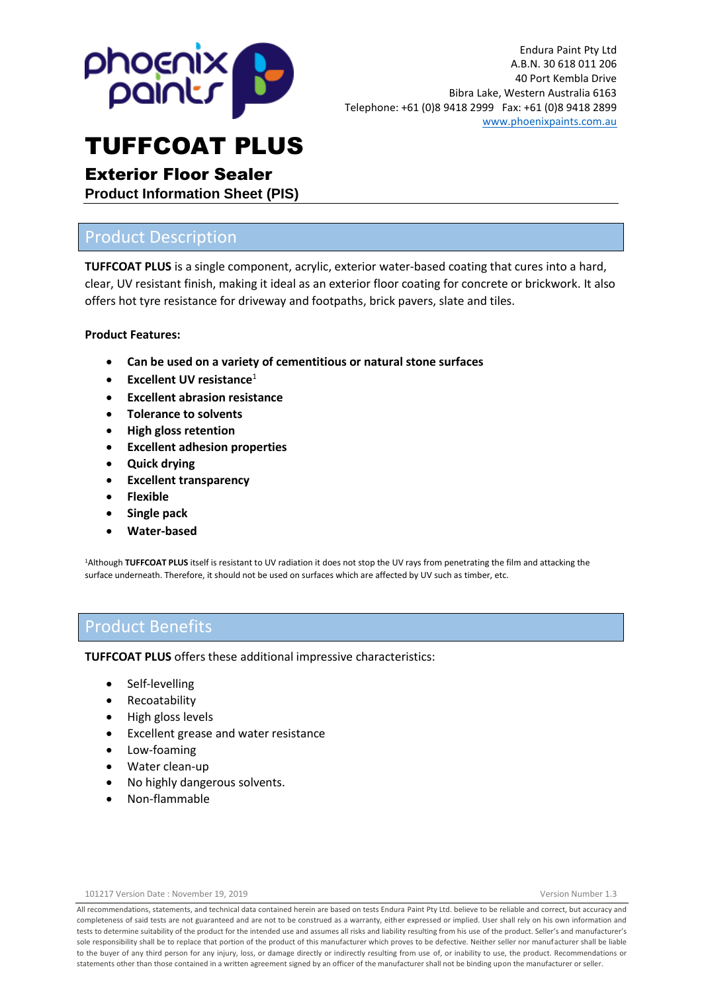

# Exterior Floor Sealer

**Product Information Sheet (PIS)**

## Product Description

**TUFFCOAT PLUS** is a single component, acrylic, exterior water-based coating that cures into a hard, clear, UV resistant finish, making it ideal as an exterior floor coating for concrete or brickwork. It also offers hot tyre resistance for driveway and footpaths, brick pavers, slate and tiles.

#### **Product Features:**

- **Can be used on a variety of cementitious or natural stone surfaces**
- **Excellent UV resistance**<sup>1</sup>
- **Excellent abrasion resistance**
- **Tolerance to solvents**
- **High gloss retention**
- **Excellent adhesion properties**
- **Quick drying**
- **Excellent transparency**
- **Flexible**
- **Single pack**
- **Water-based**

<sup>1</sup>Although **TUFFCOAT PLUS** itself is resistant to UV radiation it does not stop the UV rays from penetrating the film and attacking the surface underneath. Therefore, it should not be used on surfaces which are affected by UV such as timber, etc.

## Product Benefits

**TUFFCOAT PLUS** offers these additional impressive characteristics:

- Self-levelling
- **Recoatability**
- High gloss levels
- Excellent grease and water resistance
- Low-foaming
- Water clean-up
- No highly dangerous solvents.
- Non-flammable

All recommendations, statements, and technical data contained herein are based on tests Endura Paint Pty Ltd. believe to be reliable and correct, but accuracy and completeness of said tests are not guaranteed and are not to be construed as a warranty, either expressed or implied. User shall rely on his own information and tests to determine suitability of the product for the intended use and assumes all risks and liability resulting from his use of the product. Seller's and manufacturer's sole responsibility shall be to replace that portion of the product of this manufacturer which proves to be defective. Neither seller nor manufacturer shall be liable to the buyer of any third person for any injury, loss, or damage directly or indirectly resulting from use of, or inability to use, the product. Recommendations or statements other than those contained in a written agreement signed by an officer of the manufacturer shall not be binding upon the manufacturer or seller.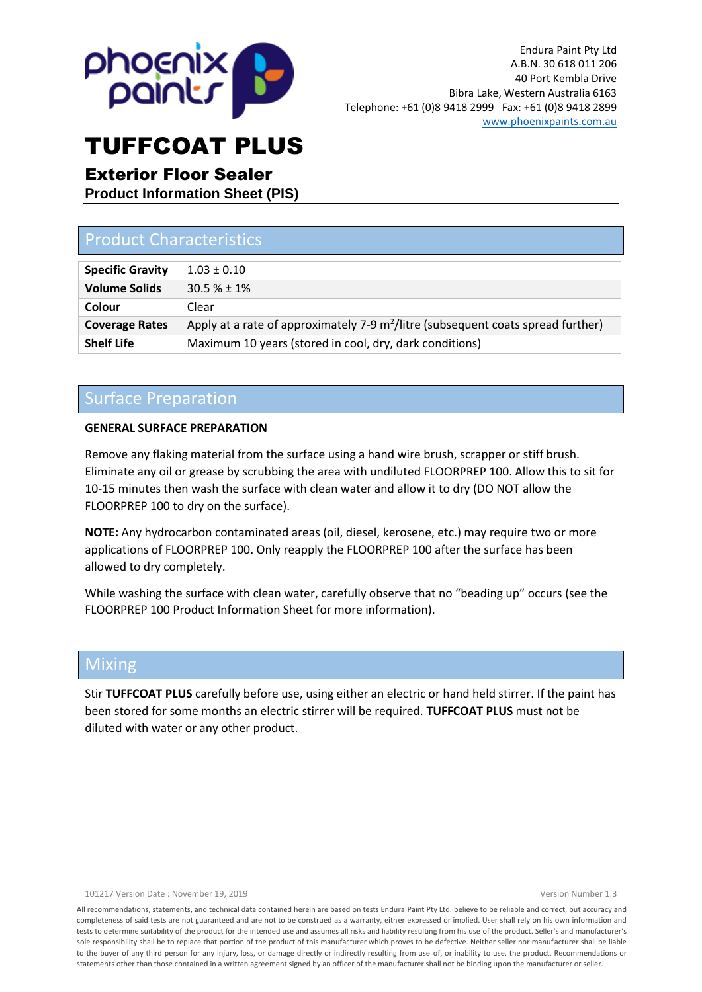

### Exterior Floor Sealer

**Product Information Sheet (PIS)**

# Product Characteristics

| <b>Specific Gravity</b> | $1.03 \pm 0.10$                                                                              |
|-------------------------|----------------------------------------------------------------------------------------------|
| <b>Volume Solids</b>    | $30.5% + 1%$                                                                                 |
| Colour                  | Clear                                                                                        |
| <b>Coverage Rates</b>   | Apply at a rate of approximately 7-9 m <sup>2</sup> /litre (subsequent coats spread further) |
| <b>Shelf Life</b>       | Maximum 10 years (stored in cool, dry, dark conditions)                                      |

### Surface Preparation

#### **GENERAL SURFACE PREPARATION**

Remove any flaking material from the surface using a hand wire brush, scrapper or stiff brush. Eliminate any oil or grease by scrubbing the area with undiluted FLOORPREP 100. Allow this to sit for 10-15 minutes then wash the surface with clean water and allow it to dry (DO NOT allow the FLOORPREP 100 to dry on the surface).

**NOTE:** Any hydrocarbon contaminated areas (oil, diesel, kerosene, etc.) may require two or more applications of FLOORPREP 100. Only reapply the FLOORPREP 100 after the surface has been allowed to dry completely.

While washing the surface with clean water, carefully observe that no "beading up" occurs (see the FLOORPREP 100 Product Information Sheet for more information).

### Mixing

Stir **TUFFCOAT PLUS** carefully before use, using either an electric or hand held stirrer. If the paint has been stored for some months an electric stirrer will be required. **TUFFCOAT PLUS** must not be diluted with water or any other product.

All recommendations, statements, and technical data contained herein are based on tests Endura Paint Pty Ltd. believe to be reliable and correct, but accuracy and completeness of said tests are not guaranteed and are not to be construed as a warranty, either expressed or implied. User shall rely on his own information and tests to determine suitability of the product for the intended use and assumes all risks and liability resulting from his use of the product. Seller's and manufacturer's sole responsibility shall be to replace that portion of the product of this manufacturer which proves to be defective. Neither seller nor manufacturer shall be liable to the buyer of any third person for any injury, loss, or damage directly or indirectly resulting from use of, or inability to use, the product. Recommendations or statements other than those contained in a written agreement signed by an officer of the manufacturer shall not be binding upon the manufacturer or seller.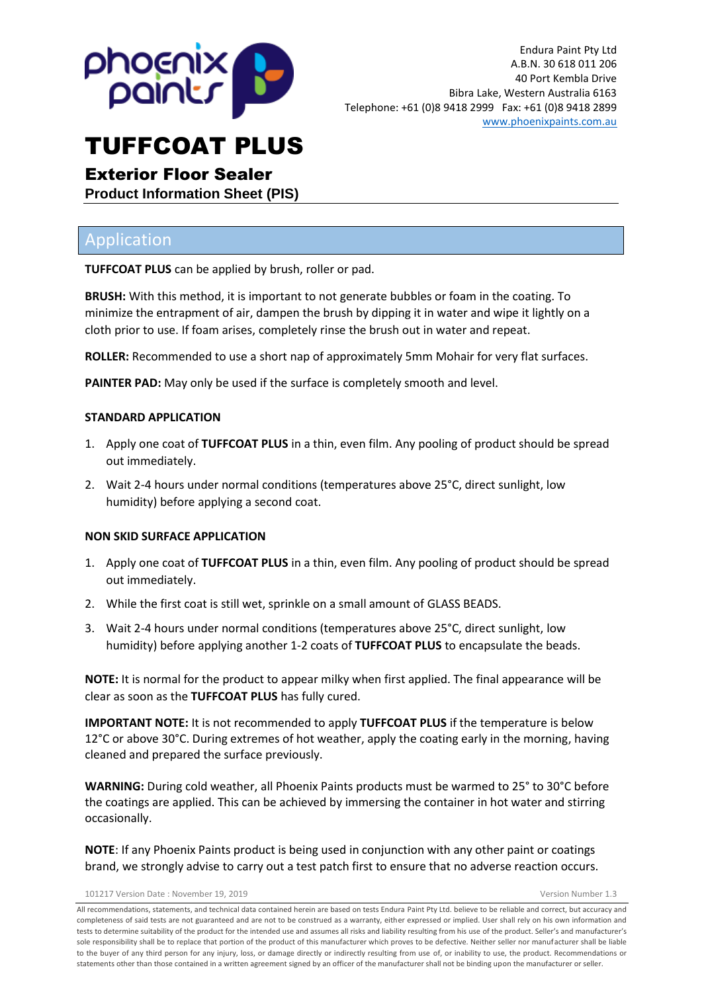

# Exterior Floor Sealer

**Product Information Sheet (PIS)**

# Application

**TUFFCOAT PLUS** can be applied by brush, roller or pad.

**BRUSH:** With this method, it is important to not generate bubbles or foam in the coating. To minimize the entrapment of air, dampen the brush by dipping it in water and wipe it lightly on a cloth prior to use. If foam arises, completely rinse the brush out in water and repeat.

**ROLLER:** Recommended to use a short nap of approximately 5mm Mohair for very flat surfaces.

**PAINTER PAD:** May only be used if the surface is completely smooth and level.

#### **STANDARD APPLICATION**

- 1. Apply one coat of **TUFFCOAT PLUS** in a thin, even film. Any pooling of product should be spread out immediately.
- 2. Wait 2-4 hours under normal conditions (temperatures above 25°C, direct sunlight, low humidity) before applying a second coat.

#### **NON SKID SURFACE APPLICATION**

- 1. Apply one coat of **TUFFCOAT PLUS** in a thin, even film. Any pooling of product should be spread out immediately.
- 2. While the first coat is still wet, sprinkle on a small amount of GLASS BEADS.
- 3. Wait 2-4 hours under normal conditions (temperatures above 25°C, direct sunlight, low humidity) before applying another 1-2 coats of **TUFFCOAT PLUS** to encapsulate the beads.

**NOTE:** It is normal for the product to appear milky when first applied. The final appearance will be clear as soon as the **TUFFCOAT PLUS** has fully cured.

**IMPORTANT NOTE:** It is not recommended to apply **TUFFCOAT PLUS** if the temperature is below 12°C or above 30°C. During extremes of hot weather, apply the coating early in the morning, having cleaned and prepared the surface previously.

**WARNING:** During cold weather, all Phoenix Paints products must be warmed to 25° to 30°C before the coatings are applied. This can be achieved by immersing the container in hot water and stirring occasionally.

**NOTE**: If any Phoenix Paints product is being used in conjunction with any other paint or coatings brand, we strongly advise to carry out a test patch first to ensure that no adverse reaction occurs.

101217 Version Date : November 19, 2019 Version Number 1.3

All recommendations, statements, and technical data contained herein are based on tests Endura Paint Pty Ltd. believe to be reliable and correct, but accuracy and completeness of said tests are not guaranteed and are not to be construed as a warranty, either expressed or implied. User shall rely on his own information and tests to determine suitability of the product for the intended use and assumes all risks and liability resulting from his use of the product. Seller's and manufacturer's sole responsibility shall be to replace that portion of the product of this manufacturer which proves to be defective. Neither seller nor manufacturer shall be liable to the buyer of any third person for any injury, loss, or damage directly or indirectly resulting from use of, or inability to use, the product. Recommendations or statements other than those contained in a written agreement signed by an officer of the manufacturer shall not be binding upon the manufacturer or seller.